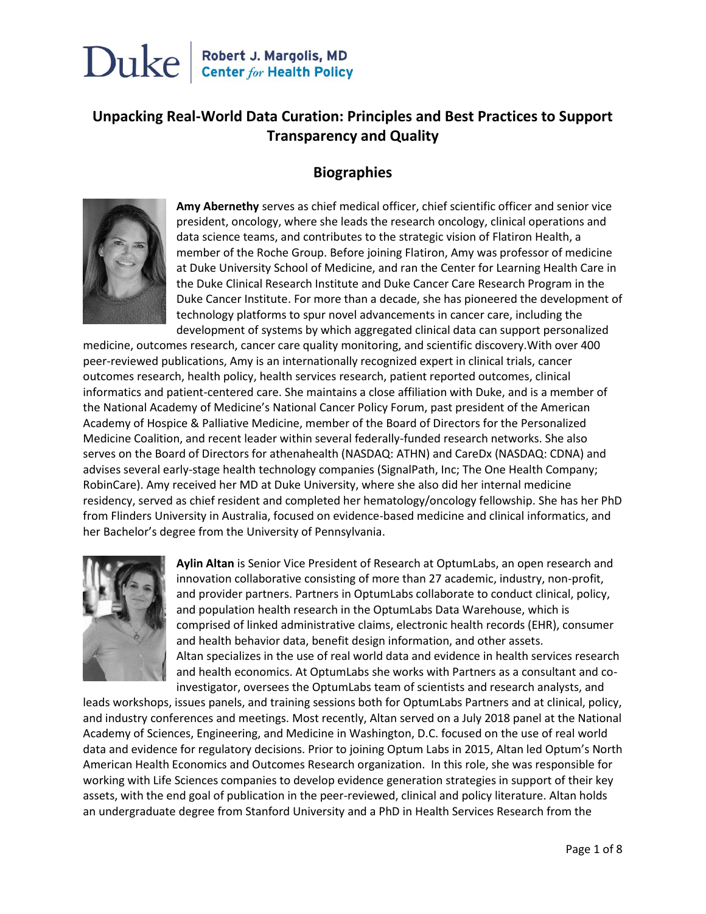#### **Unpacking Real-World Data Curation: Principles and Best Practices to Support Transparency and Quality**

#### **Biographies**



**Amy Abernethy** serves as chief medical officer, chief scientific officer and senior vice president, oncology, where she leads the research oncology, clinical operations and data science teams, and contributes to the strategic vision of Flatiron Health, a member of the Roche Group. Before joining Flatiron, Amy was professor of medicine at Duke University School of Medicine, and ran the Center for Learning Health Care in the Duke Clinical Research Institute and Duke Cancer Care Research Program in the Duke Cancer Institute. For more than a decade, she has pioneered the development of technology platforms to spur novel advancements in cancer care, including the development of systems by which aggregated clinical data can support personalized

medicine, outcomes research, cancer care quality monitoring, and scientific discovery.With over 400 peer-reviewed publications, Amy is an internationally recognized expert in clinical trials, cancer outcomes research, health policy, health services research, patient reported outcomes, clinical informatics and patient-centered care. She maintains a close affiliation with Duke, and is a member of the National Academy of Medicine's National Cancer Policy Forum, past president of the American Academy of Hospice & Palliative Medicine, member of the Board of Directors for the Personalized Medicine Coalition, and recent leader within several federally-funded research networks. She also serves on the Board of Directors for athenahealth (NASDAQ: ATHN) and CareDx (NASDAQ: CDNA) and advises several early-stage health technology companies (SignalPath, Inc; The One Health Company; RobinCare). Amy received her MD at Duke University, where she also did her internal medicine residency, served as chief resident and completed her hematology/oncology fellowship. She has her PhD from Flinders University in Australia, focused on evidence-based medicine and clinical informatics, and her Bachelor's degree from the University of Pennsylvania.



**Aylin Altan** is Senior Vice President of Research at OptumLabs, an open research and innovation collaborative consisting of more than 27 academic, industry, non-profit, and provider partners. Partners in OptumLabs collaborate to conduct clinical, policy, and population health research in the OptumLabs Data Warehouse, which is comprised of linked administrative claims, electronic health records (EHR), consumer and health behavior data, benefit design information, and other assets. Altan specializes in the use of real world data and evidence in health services research and health economics. At OptumLabs she works with Partners as a consultant and coinvestigator, oversees the OptumLabs team of scientists and research analysts, and

leads workshops, issues panels, and training sessions both for OptumLabs Partners and at clinical, policy, and industry conferences and meetings. Most recently, Altan served on a July 2018 panel at the National Academy of Sciences, Engineering, and Medicine in Washington, D.C. focused on the use of real world data and evidence for regulatory decisions. Prior to joining Optum Labs in 2015, Altan led Optum's North American Health Economics and Outcomes Research organization. In this role, she was responsible for working with Life Sciences companies to develop evidence generation strategies in support of their key assets, with the end goal of publication in the peer-reviewed, clinical and policy literature. Altan holds an undergraduate degree from Stanford University and a PhD in Health Services Research from the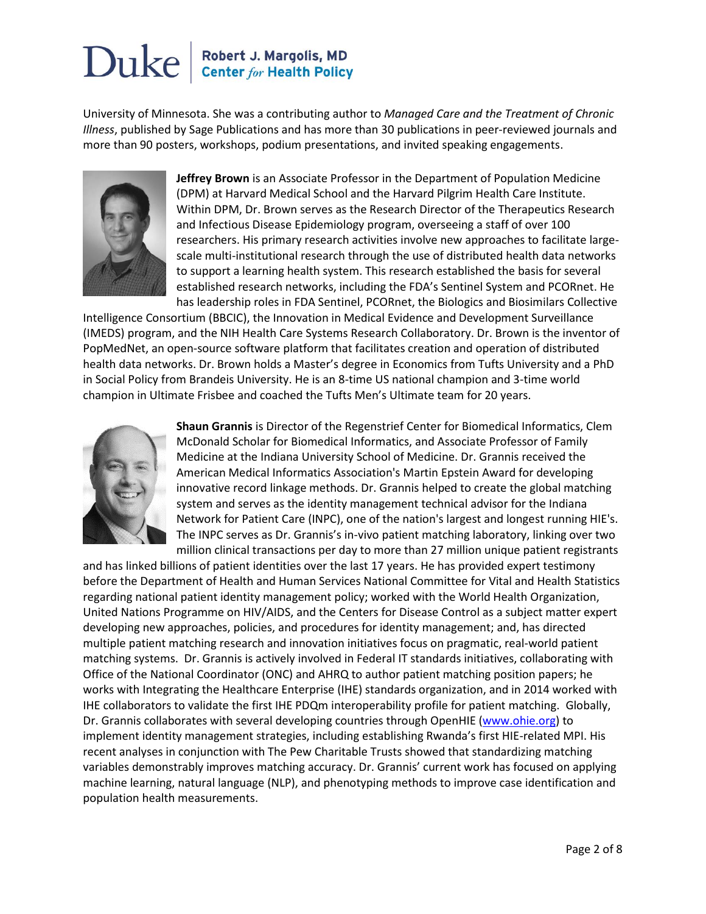University of Minnesota. She was a contributing author to *Managed Care and the Treatment of Chronic Illness*, published by Sage Publications and has more than 30 publications in peer-reviewed journals and more than 90 posters, workshops, podium presentations, and invited speaking engagements.



**Jeffrey Brown** is an Associate Professor in the Department of Population Medicine (DPM) at Harvard Medical School and the Harvard Pilgrim Health Care Institute. Within DPM, Dr. Brown serves as the Research Director of the Therapeutics Research and Infectious Disease Epidemiology program, overseeing a staff of over 100 researchers. His primary research activities involve new approaches to facilitate largescale multi-institutional research through the use of distributed health data networks to support a learning health system. This research established the basis for several established research networks, including the FDA's Sentinel System and PCORnet. He has leadership roles in FDA Sentinel, PCORnet, the Biologics and Biosimilars Collective

Intelligence Consortium (BBCIC), the Innovation in Medical Evidence and Development Surveillance (IMEDS) program, and the NIH Health Care Systems Research Collaboratory. Dr. Brown is the inventor of PopMedNet, an open-source software platform that facilitates creation and operation of distributed health data networks. Dr. Brown holds a Master's degree in Economics from Tufts University and a PhD in Social Policy from Brandeis University. He is an 8-time US national champion and 3-time world champion in Ultimate Frisbee and coached the Tufts Men's Ultimate team for 20 years.



**Shaun Grannis** is Director of the Regenstrief Center for Biomedical Informatics, Clem McDonald Scholar for Biomedical Informatics, and Associate Professor of Family Medicine at the Indiana University School of Medicine. Dr. Grannis received the American Medical Informatics Association's Martin Epstein Award for developing innovative record linkage methods. Dr. Grannis helped to create the global matching system and serves as the identity management technical advisor for the Indiana Network for Patient Care (INPC), one of the nation's largest and longest running HIE's. The INPC serves as Dr. Grannis's in-vivo patient matching laboratory, linking over two million clinical transactions per day to more than 27 million unique patient registrants

and has linked billions of patient identities over the last 17 years. He has provided expert testimony before the Department of Health and Human Services National Committee for Vital and Health Statistics regarding national patient identity management policy; worked with the World Health Organization, United Nations Programme on HIV/AIDS, and the Centers for Disease Control as a subject matter expert developing new approaches, policies, and procedures for identity management; and, has directed multiple patient matching research and innovation initiatives focus on pragmatic, real-world patient matching systems. Dr. Grannis is actively involved in Federal IT standards initiatives, collaborating with Office of the National Coordinator (ONC) and AHRQ to author patient matching position papers; he works with Integrating the Healthcare Enterprise (IHE) standards organization, and in 2014 worked with IHE collaborators to validate the first IHE PDQm interoperability profile for patient matching. Globally, Dr. Grannis collaborates with several developing countries through OpenHIE [\(www.ohie.org\)](https://urldefense.proofpoint.com/v2/url?u=http-3A__www.ohie.org&d=DwMFAg&c=imBPVzF25OnBgGmVOlcsiEgHoG1i6YHLR0Sj_gZ4adc&r=Z-_ZktH4HjDguPglEIjQJ9B6NsiXCdYgwjJqWq5qqJM&m=47Au7_1UD21MaLFxwheTqRxnX6cdF3s-OK6aUxpmdYE&s=xK58PWwq43adI_uMVX-FMDAZDUtJFuLVjkMwqNkjuxA&e=) to implement identity management strategies, including establishing Rwanda's first HIE-related MPI. His recent analyses in conjunction with The Pew Charitable Trusts showed that standardizing matching variables demonstrably improves matching accuracy. Dr. Grannis' current work has focused on applying machine learning, natural language (NLP), and phenotyping methods to improve case identification and population health measurements.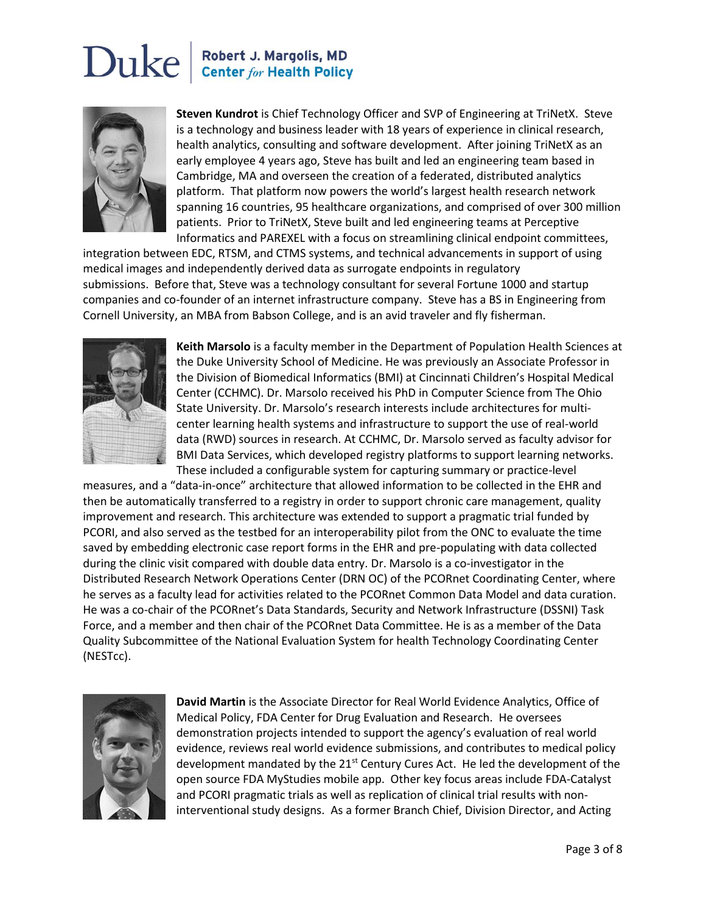# Duke





**Steven Kundrot** is Chief Technology Officer and SVP of Engineering at TriNetX. Steve is a technology and business leader with 18 years of experience in clinical research, health analytics, consulting and software development. After joining TriNetX as an early employee 4 years ago, Steve has built and led an engineering team based in Cambridge, MA and overseen the creation of a federated, distributed analytics platform. That platform now powers the world's largest health research network spanning 16 countries, 95 healthcare organizations, and comprised of over 300 million patients. Prior to TriNetX, Steve built and led engineering teams at Perceptive Informatics and PAREXEL with a focus on streamlining clinical endpoint committees,

integration between EDC, RTSM, and CTMS systems, and technical advancements in support of using medical images and independently derived data as surrogate endpoints in regulatory submissions. Before that, Steve was a technology consultant for several Fortune 1000 and startup companies and co-founder of an internet infrastructure company. Steve has a BS in Engineering from Cornell University, an MBA from Babson College, and is an avid traveler and fly fisherman.



**Keith Marsolo** is a faculty member in the Department of Population Health Sciences at the Duke University School of Medicine. He was previously an Associate Professor in the Division of Biomedical Informatics (BMI) at Cincinnati Children's Hospital Medical Center (CCHMC). Dr. Marsolo received his PhD in Computer Science from The Ohio State University. Dr. Marsolo's research interests include architectures for multicenter learning health systems and infrastructure to support the use of real-world data (RWD) sources in research. At CCHMC, Dr. Marsolo served as faculty advisor for BMI Data Services, which developed registry platforms to support learning networks. These included a configurable system for capturing summary or practice-level

measures, and a "data-in-once" architecture that allowed information to be collected in the EHR and then be automatically transferred to a registry in order to support chronic care management, quality improvement and research. This architecture was extended to support a pragmatic trial funded by PCORI, and also served as the testbed for an interoperability pilot from the ONC to evaluate the time saved by embedding electronic case report forms in the EHR and pre-populating with data collected during the clinic visit compared with double data entry. Dr. Marsolo is a co-investigator in the Distributed Research Network Operations Center (DRN OC) of the PCORnet Coordinating Center, where he serves as a faculty lead for activities related to the PCORnet Common Data Model and data curation. He was a co-chair of the PCORnet's Data Standards, Security and Network Infrastructure (DSSNI) Task Force, and a member and then chair of the PCORnet Data Committee. He is as a member of the Data Quality Subcommittee of the National Evaluation System for health Technology Coordinating Center (NESTcc).



**David Martin** is the Associate Director for Real World Evidence Analytics, Office of Medical Policy, FDA Center for Drug Evaluation and Research. He oversees demonstration projects intended to support the agency's evaluation of real world evidence, reviews real world evidence submissions, and contributes to medical policy development mandated by the  $21<sup>st</sup>$  Century Cures Act. He led the development of the open source FDA MyStudies mobile app. Other key focus areas include FDA-Catalyst and PCORI pragmatic trials as well as replication of clinical trial results with noninterventional study designs. As a former Branch Chief, Division Director, and Acting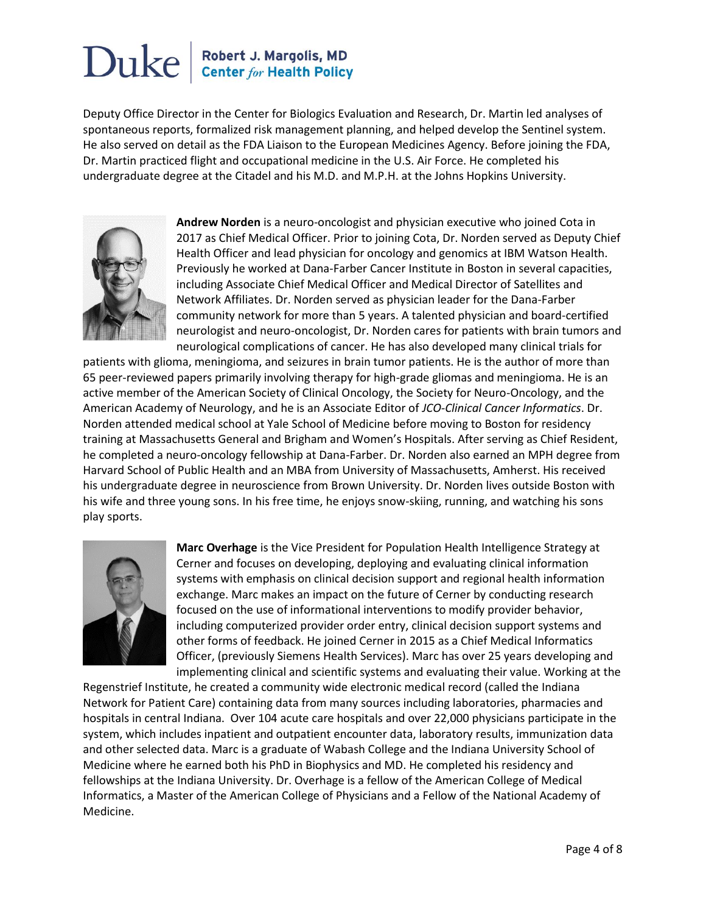Deputy Office Director in the Center for Biologics Evaluation and Research, Dr. Martin led analyses of spontaneous reports, formalized risk management planning, and helped develop the Sentinel system. He also served on detail as the FDA Liaison to the European Medicines Agency. Before joining the FDA, Dr. Martin practiced flight and occupational medicine in the U.S. Air Force. He completed his undergraduate degree at the Citadel and his M.D. and M.P.H. at the Johns Hopkins University.



**Andrew Norden** is a neuro-oncologist and physician executive who joined Cota in 2017 as Chief Medical Officer. Prior to joining Cota, Dr. Norden served as Deputy Chief Health Officer and lead physician for oncology and genomics at IBM Watson Health. Previously he worked at Dana-Farber Cancer Institute in Boston in several capacities, including Associate Chief Medical Officer and Medical Director of Satellites and Network Affiliates. Dr. Norden served as physician leader for the Dana-Farber community network for more than 5 years. A talented physician and board-certified neurologist and neuro-oncologist, Dr. Norden cares for patients with brain tumors and neurological complications of cancer. He has also developed many clinical trials for

patients with glioma, meningioma, and seizures in brain tumor patients. He is the author of more than 65 peer-reviewed papers primarily involving therapy for high-grade gliomas and meningioma. He is an active member of the American Society of Clinical Oncology, the Society for Neuro-Oncology, and the American Academy of Neurology, and he is an Associate Editor of *JCO-Clinical Cancer Informatics*. Dr. Norden attended medical school at Yale School of Medicine before moving to Boston for residency training at Massachusetts General and Brigham and Women's Hospitals. After serving as Chief Resident, he completed a neuro-oncology fellowship at Dana-Farber. Dr. Norden also earned an MPH degree from Harvard School of Public Health and an MBA from University of Massachusetts, Amherst. His received his undergraduate degree in neuroscience from Brown University. Dr. Norden lives outside Boston with his wife and three young sons. In his free time, he enjoys snow-skiing, running, and watching his sons play sports.



**Marc Overhage** is the Vice President for Population Health Intelligence Strategy at Cerner and focuses on developing, deploying and evaluating clinical information systems with emphasis on clinical decision support and regional health information exchange. Marc makes an impact on the future of Cerner by conducting research focused on the use of informational interventions to modify provider behavior, including computerized provider order entry, clinical decision support systems and other forms of feedback. He joined Cerner in 2015 as a Chief Medical Informatics Officer, (previously Siemens Health Services). Marc has over 25 years developing and implementing clinical and scientific systems and evaluating their value. Working at the

Regenstrief Institute, he created a community wide electronic medical record (called the Indiana Network for Patient Care) containing data from many sources including laboratories, pharmacies and hospitals in central Indiana. Over 104 acute care hospitals and over 22,000 physicians participate in the system, which includes inpatient and outpatient encounter data, laboratory results, immunization data and other selected data. Marc is a graduate of Wabash College and the Indiana University School of Medicine where he earned both his PhD in Biophysics and MD. He completed his residency and fellowships at the Indiana University. Dr. Overhage is a fellow of the American College of Medical Informatics, a Master of the American College of Physicians and a Fellow of the National Academy of Medicine.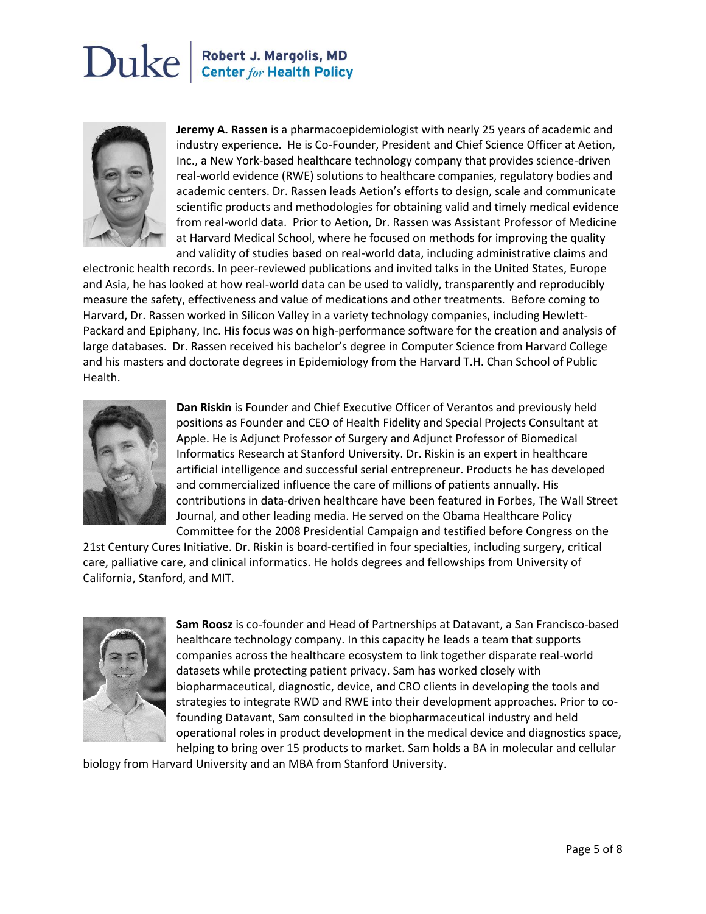

**Jeremy A. Rassen** is a pharmacoepidemiologist with nearly 25 years of academic and industry experience. He is Co-Founder, President and Chief Science Officer at Aetion, Inc., a New York-based healthcare technology company that provides science-driven real-world evidence (RWE) solutions to healthcare companies, regulatory bodies and academic centers. Dr. Rassen leads Aetion's efforts to design, scale and communicate scientific products and methodologies for obtaining valid and timely medical evidence from real-world data. Prior to Aetion, Dr. Rassen was Assistant Professor of Medicine at Harvard Medical School, where he focused on methods for improving the quality and validity of studies based on real-world data, including administrative claims and

electronic health records. In peer-reviewed publications and invited talks in the United States, Europe and Asia, he has looked at how real-world data can be used to validly, transparently and reproducibly measure the safety, effectiveness and value of medications and other treatments. Before coming to Harvard, Dr. Rassen worked in Silicon Valley in a variety technology companies, including Hewlett-Packard and Epiphany, Inc. His focus was on high-performance software for the creation and analysis of large databases. Dr. Rassen received his bachelor's degree in Computer Science from Harvard College and his masters and doctorate degrees in Epidemiology from the Harvard T.H. Chan School of Public Health.



**Dan Riskin** is Founder and Chief Executive Officer of Verantos and previously held positions as Founder and CEO of Health Fidelity and Special Projects Consultant at Apple. He is Adjunct Professor of Surgery and Adjunct Professor of Biomedical Informatics Research at Stanford University. Dr. Riskin is an expert in healthcare artificial intelligence and successful serial entrepreneur. Products he has developed and commercialized influence the care of millions of patients annually. His contributions in data-driven healthcare have been featured in Forbes, The Wall Street Journal, and other leading media. He served on the Obama Healthcare Policy Committee for the 2008 Presidential Campaign and testified before Congress on the

21st Century Cures Initiative. Dr. Riskin is board-certified in four specialties, including surgery, critical care, palliative care, and clinical informatics. He holds degrees and fellowships from University of California, Stanford, and MIT.



**Sam Roosz** is co-founder and Head of Partnerships at Datavant, a San Francisco-based healthcare technology company. In this capacity he leads a team that supports companies across the healthcare ecosystem to link together disparate real-world datasets while protecting patient privacy. Sam has worked closely with biopharmaceutical, diagnostic, device, and CRO clients in developing the tools and strategies to integrate RWD and RWE into their development approaches. Prior to cofounding Datavant, Sam consulted in the biopharmaceutical industry and held operational roles in product development in the medical device and diagnostics space, helping to bring over 15 products to market. Sam holds a BA in molecular and cellular

biology from Harvard University and an MBA from Stanford University.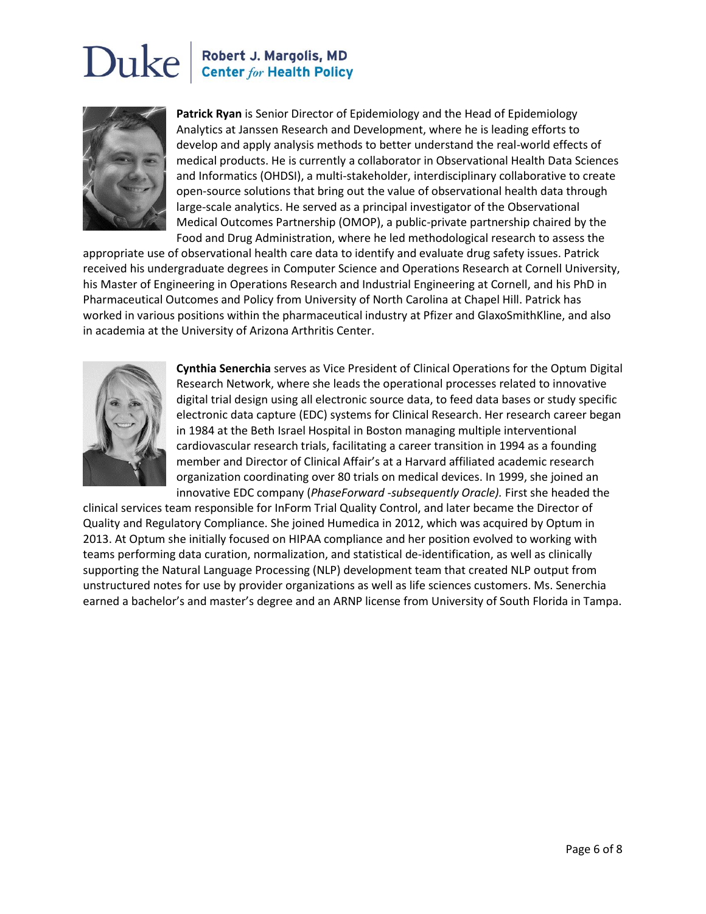

**Patrick Ryan** is Senior Director of Epidemiology and the Head of Epidemiology Analytics at Janssen Research and Development, where he is leading efforts to develop and apply analysis methods to better understand the real-world effects of medical products. He is currently a collaborator in Observational Health Data Sciences and Informatics (OHDSI), a multi-stakeholder, interdisciplinary collaborative to create open-source solutions that bring out the value of observational health data through large-scale analytics. He served as a principal investigator of the Observational Medical Outcomes Partnership (OMOP), a public-private partnership chaired by the Food and Drug Administration, where he led methodological research to assess the

appropriate use of observational health care data to identify and evaluate drug safety issues. Patrick received his undergraduate degrees in Computer Science and Operations Research at Cornell University, his Master of Engineering in Operations Research and Industrial Engineering at Cornell, and his PhD in Pharmaceutical Outcomes and Policy from University of North Carolina at Chapel Hill. Patrick has worked in various positions within the pharmaceutical industry at Pfizer and GlaxoSmithKline, and also in academia at the University of Arizona Arthritis Center.



**Cynthia Senerchia** serves as Vice President of Clinical Operations for the Optum Digital Research Network, where she leads the operational processes related to innovative digital trial design using all electronic source data, to feed data bases or study specific electronic data capture (EDC) systems for Clinical Research. Her research career began in 1984 at the Beth Israel Hospital in Boston managing multiple interventional cardiovascular research trials, facilitating a career transition in 1994 as a founding member and Director of Clinical Affair's at a Harvard affiliated academic research organization coordinating over 80 trials on medical devices. In 1999, she joined an innovative EDC company (*PhaseForward* -*subsequently Oracle).* First she headed the

clinical services team responsible for InForm Trial Quality Control, and later became the Director of Quality and Regulatory Compliance. She joined Humedica in 2012, which was acquired by Optum in 2013. At Optum she initially focused on HIPAA compliance and her position evolved to working with teams performing data curation, normalization, and statistical de-identification, as well as clinically supporting the Natural Language Processing (NLP) development team that created NLP output from unstructured notes for use by provider organizations as well as life sciences customers. Ms. Senerchia earned a bachelor's and master's degree and an ARNP license from University of South Florida in Tampa.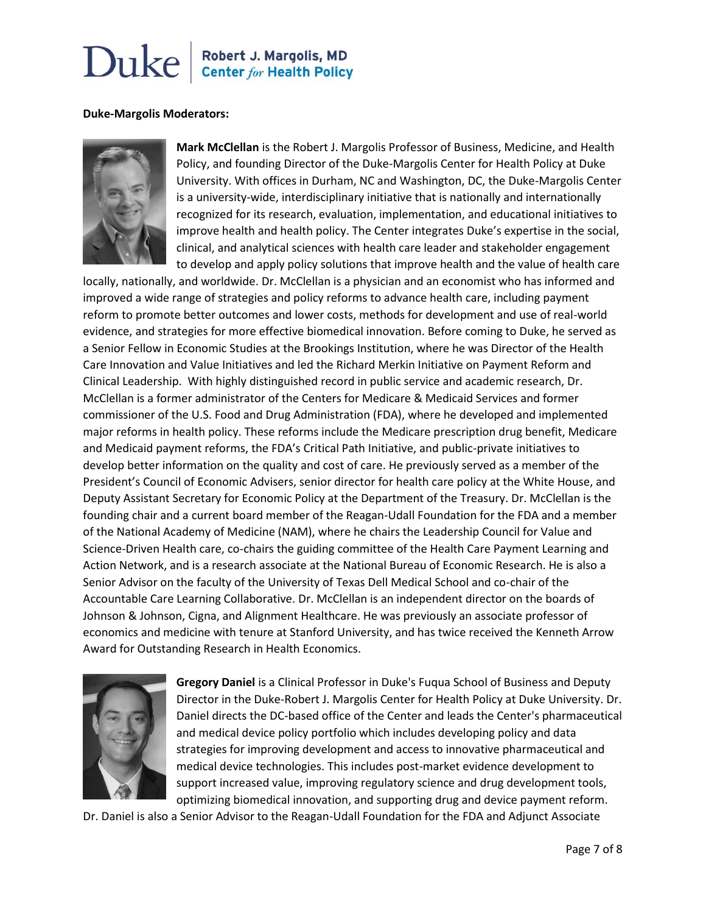#### **Duke-Margolis Moderators:**



**Mark McClellan** is the Robert J. Margolis Professor of Business, Medicine, and Health Policy, and founding Director of the Duke-Margolis Center for Health Policy at Duke University. With offices in Durham, NC and Washington, DC, the Duke-Margolis Center is a university-wide, interdisciplinary initiative that is nationally and internationally recognized for its research, evaluation, implementation, and educational initiatives to improve health and health policy. The Center integrates Duke's expertise in the social, clinical, and analytical sciences with health care leader and stakeholder engagement to develop and apply policy solutions that improve health and the value of health care

locally, nationally, and worldwide. Dr. McClellan is a physician and an economist who has informed and improved a wide range of strategies and policy reforms to advance health care, including payment reform to promote better outcomes and lower costs, methods for development and use of real-world evidence, and strategies for more effective biomedical innovation. Before coming to Duke, he served as a Senior Fellow in Economic Studies at the Brookings Institution, where he was Director of the Health Care Innovation and Value Initiatives and led the Richard Merkin Initiative on Payment Reform and Clinical Leadership. With highly distinguished record in public service and academic research, Dr. McClellan is a former administrator of the Centers for Medicare & Medicaid Services and former commissioner of the U.S. Food and Drug Administration (FDA), where he developed and implemented major reforms in health policy. These reforms include the Medicare prescription drug benefit, Medicare and Medicaid payment reforms, the FDA's Critical Path Initiative, and public-private initiatives to develop better information on the quality and cost of care. He previously served as a member of the President's Council of Economic Advisers, senior director for health care policy at the White House, and Deputy Assistant Secretary for Economic Policy at the Department of the Treasury. Dr. McClellan is the founding chair and a current board member of the Reagan-Udall Foundation for the FDA and a member of the National Academy of Medicine (NAM), where he chairs the Leadership Council for Value and Science-Driven Health care, co-chairs the guiding committee of the Health Care Payment Learning and Action Network, and is a research associate at the National Bureau of Economic Research. He is also a Senior Advisor on the faculty of the University of Texas Dell Medical School and co-chair of the Accountable Care Learning Collaborative. Dr. McClellan is an independent director on the boards of Johnson & Johnson, Cigna, and Alignment Healthcare. He was previously an associate professor of economics and medicine with tenure at Stanford University, and has twice received the Kenneth Arrow Award for Outstanding Research in Health Economics.



**Gregory Daniel** is a Clinical Professor in Duke's Fuqua School of Business and Deputy Director in the Duke-Robert J. Margolis Center for Health Policy at Duke University. Dr. Daniel directs the DC-based office of the Center and leads the Center's pharmaceutical and medical device policy portfolio which includes developing policy and data strategies for improving development and access to innovative pharmaceutical and medical device technologies. This includes post-market evidence development to support increased value, improving regulatory science and drug development tools, optimizing biomedical innovation, and supporting drug and device payment reform.

Dr. Daniel is also a Senior Advisor to the Reagan-Udall Foundation for the FDA and Adjunct Associate